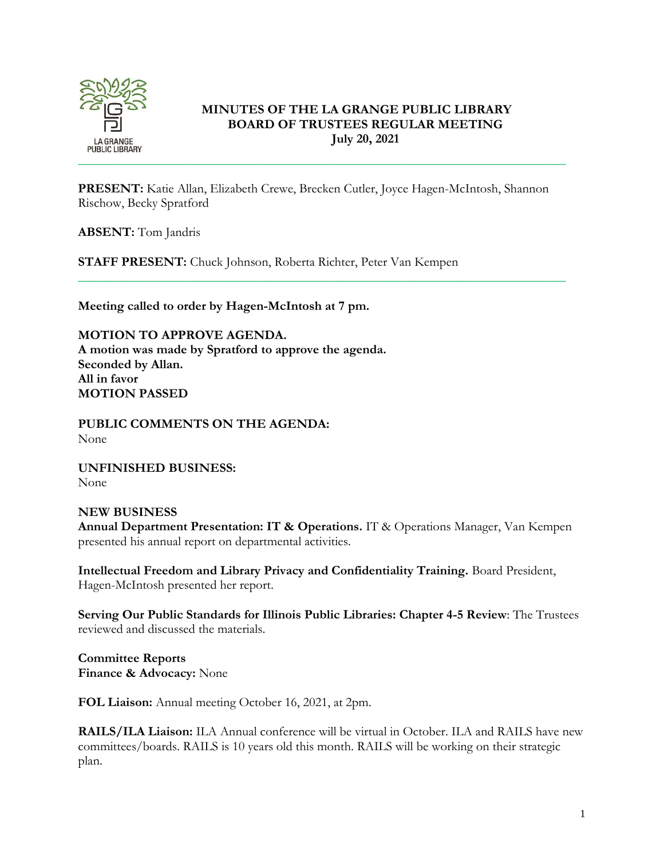

# **MINUTES OF THE LA GRANGE PUBLIC LIBRARY BOARD OF TRUSTEES REGULAR MEETING July 20, 2021**

**PRESENT:** Katie Allan, Elizabeth Crewe, Brecken Cutler, Joyce Hagen-McIntosh, Shannon Rischow, Becky Spratford

\_\_\_\_\_\_\_\_\_\_\_\_\_\_\_\_\_\_\_\_\_\_\_\_\_\_\_\_\_\_\_\_\_\_\_\_\_\_\_\_\_\_\_\_\_\_\_\_\_\_\_\_\_\_\_\_\_\_\_\_\_\_\_\_\_\_\_\_\_\_\_\_\_\_\_

**ABSENT:** Tom Jandris

**STAFF PRESENT:** Chuck Johnson, Roberta Richter, Peter Van Kempen

**Meeting called to order by Hagen-McIntosh at 7 pm.**

**MOTION TO APPROVE AGENDA. A motion was made by Spratford to approve the agenda. Seconded by Allan. All in favor MOTION PASSED**

**PUBLIC COMMENTS ON THE AGENDA:**  None

**UNFINISHED BUSINESS:** None

## **NEW BUSINESS**

**Annual Department Presentation: IT & Operations.** IT & Operations Manager, Van Kempen presented his annual report on departmental activities.

**Intellectual Freedom and Library Privacy and Confidentiality Training.** Board President, Hagen-McIntosh presented her report.

**Serving Our Public Standards for Illinois Public Libraries: Chapter 4-5 Review**: The Trustees reviewed and discussed the materials.

**Committee Reports Finance & Advocacy:** None

**FOL Liaison:** Annual meeting October 16, 2021, at 2pm.

**RAILS/ILA Liaison:** ILA Annual conference will be virtual in October. ILA and RAILS have new committees/boards. RAILS is 10 years old this month. RAILS will be working on their strategic plan.